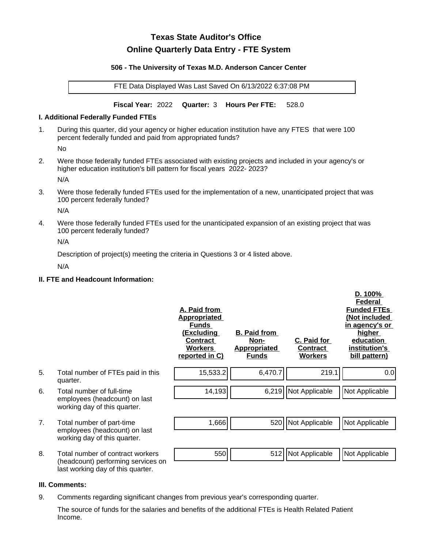# **Texas State Auditor's Office Online Quarterly Data Entry - FTE System**

#### **506 - The University of Texas M.D. Anderson Cancer Center**

FTE Data Displayed Was Last Saved On 6/13/2022 6:37:08 PM

**Fiscal Year:** 2022 **Quarter:** 3 **Hours Per FTE:** 528.0

#### **I. Additional Federally Funded FTEs**

1. During this quarter, did your agency or higher education institution have any FTES that were 100 percent federally funded and paid from appropriated funds?

No

2. Were those federally funded FTEs associated with existing projects and included in your agency's or higher education institution's bill pattern for fiscal years 2022- 2023?

N/A

3. Were those federally funded FTEs used for the implementation of a new, unanticipated project that was 100 percent federally funded?

N/A

4. Were those federally funded FTEs used for the unanticipated expansion of an existing project that was 100 percent federally funded?

N/A

Description of project(s) meeting the criteria in Questions 3 or 4 listed above.

N/A

## **II. FTE and Headcount Information:**

|    |                                                                                                             | A. Paid from<br><b>Appropriated</b><br><b>Funds</b><br><u>(Excluding</u><br><b>Contract</b><br><b>Workers</b><br>reported in C) | <b>B. Paid from</b><br><u>Non-</u><br><b>Appropriated</b><br><b>Funds</b> | C. Paid for<br><b>Contract</b><br><b>Workers</b> | D. 100%<br>Federal<br><b>Funded FTEs</b><br>(Not included<br>in agency's or<br>higher<br>education<br>institution's<br>bill pattern) |
|----|-------------------------------------------------------------------------------------------------------------|---------------------------------------------------------------------------------------------------------------------------------|---------------------------------------------------------------------------|--------------------------------------------------|--------------------------------------------------------------------------------------------------------------------------------------|
| 5. | Total number of FTEs paid in this<br>quarter.                                                               | 15,533.2                                                                                                                        | 6,470.7                                                                   | 219.1                                            | 0.0                                                                                                                                  |
| 6. | Total number of full-time<br>employees (headcount) on last<br>working day of this quarter.                  | 14,193                                                                                                                          | 6,219                                                                     | Not Applicable                                   | Not Applicable                                                                                                                       |
| 7. | Total number of part-time<br>employees (headcount) on last<br>working day of this quarter.                  | 1,666                                                                                                                           | 520                                                                       | Not Applicable                                   | Not Applicable                                                                                                                       |
| 8. | Total number of contract workers<br>(headcount) performing services on<br>last working day of this quarter. | 550                                                                                                                             | 512                                                                       | Not Applicable                                   | Not Applicable                                                                                                                       |

## **III. Comments:**

9. Comments regarding significant changes from previous year's corresponding quarter.

The source of funds for the salaries and benefits of the additional FTEs is Health Related Patient Income.